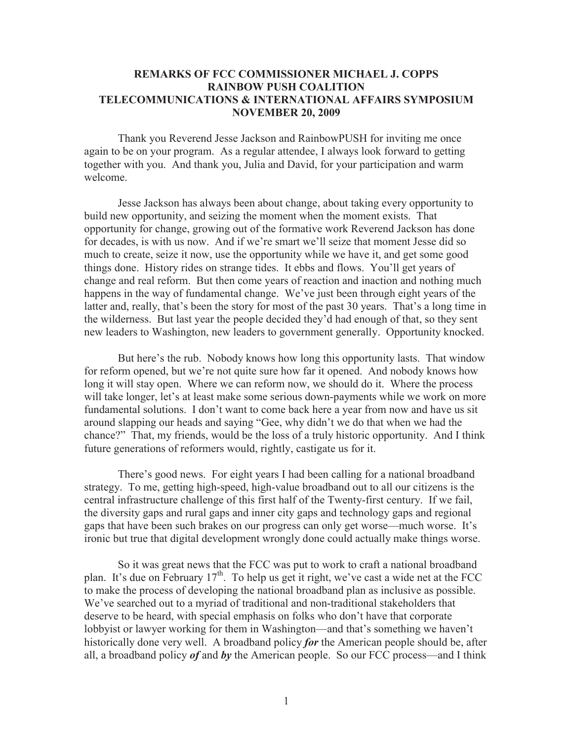## **REMARKS OF FCC COMMISSIONER MICHAEL J. COPPS RAINBOW PUSH COALITION TELECOMMUNICATIONS & INTERNATIONAL AFFAIRS SYMPOSIUM NOVEMBER 20, 2009**

Thank you Reverend Jesse Jackson and RainbowPUSH for inviting me once again to be on your program. As a regular attendee, I always look forward to getting together with you. And thank you, Julia and David, for your participation and warm welcome.

Jesse Jackson has always been about change, about taking every opportunity to build new opportunity, and seizing the moment when the moment exists. That opportunity for change, growing out of the formative work Reverend Jackson has done for decades, is with us now. And if we're smart we'll seize that moment Jesse did so much to create, seize it now, use the opportunity while we have it, and get some good things done. History rides on strange tides. It ebbs and flows. You'll get years of change and real reform. But then come years of reaction and inaction and nothing much happens in the way of fundamental change. We've just been through eight years of the latter and, really, that's been the story for most of the past 30 years. That's a long time in the wilderness. But last year the people decided they'd had enough of that, so they sent new leaders to Washington, new leaders to government generally. Opportunity knocked.

But here's the rub. Nobody knows how long this opportunity lasts. That window for reform opened, but we're not quite sure how far it opened. And nobody knows how long it will stay open. Where we can reform now, we should do it. Where the process will take longer, let's at least make some serious down-payments while we work on more fundamental solutions. I don't want to come back here a year from now and have us sit around slapping our heads and saying "Gee, why didn't we do that when we had the chance?" That, my friends, would be the loss of a truly historic opportunity. And I think future generations of reformers would, rightly, castigate us for it.

There's good news. For eight years I had been calling for a national broadband strategy. To me, getting high-speed, high-value broadband out to all our citizens is the central infrastructure challenge of this first half of the Twenty-first century. If we fail, the diversity gaps and rural gaps and inner city gaps and technology gaps and regional gaps that have been such brakes on our progress can only get worse—much worse. It's ironic but true that digital development wrongly done could actually make things worse.

So it was great news that the FCC was put to work to craft a national broadband plan. It's due on February  $17<sup>th</sup>$ . To help us get it right, we've cast a wide net at the FCC to make the process of developing the national broadband plan as inclusive as possible. We've searched out to a myriad of traditional and non-traditional stakeholders that deserve to be heard, with special emphasis on folks who don't have that corporate lobbyist or lawyer working for them in Washington—and that's something we haven't historically done very well. A broadband policy *for* the American people should be, after all, a broadband policy *of* and *by* the American people. So our FCC process—and I think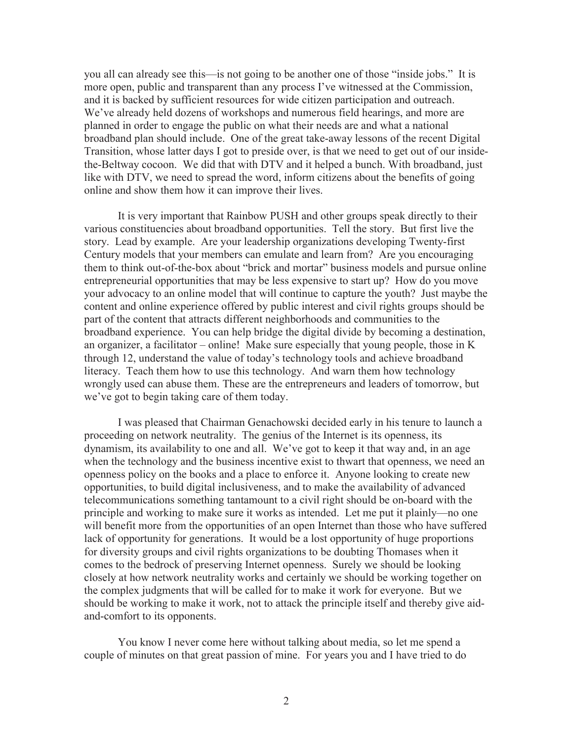you all can already see this—is not going to be another one of those "inside jobs." It is more open, public and transparent than any process I've witnessed at the Commission, and it is backed by sufficient resources for wide citizen participation and outreach. We've already held dozens of workshops and numerous field hearings, and more are planned in order to engage the public on what their needs are and what a national broadband plan should include. One of the great take-away lessons of the recent Digital Transition, whose latter days I got to preside over, is that we need to get out of our insidethe-Beltway cocoon. We did that with DTV and it helped a bunch. With broadband, just like with DTV, we need to spread the word, inform citizens about the benefits of going online and show them how it can improve their lives.

It is very important that Rainbow PUSH and other groups speak directly to their various constituencies about broadband opportunities. Tell the story. But first live the story. Lead by example. Are your leadership organizations developing Twenty-first Century models that your members can emulate and learn from? Are you encouraging them to think out-of-the-box about "brick and mortar" business models and pursue online entrepreneurial opportunities that may be less expensive to start up? How do you move your advocacy to an online model that will continue to capture the youth? Just maybe the content and online experience offered by public interest and civil rights groups should be part of the content that attracts different neighborhoods and communities to the broadband experience. You can help bridge the digital divide by becoming a destination, an organizer, a facilitator – online! Make sure especially that young people, those in K through 12, understand the value of today's technology tools and achieve broadband literacy. Teach them how to use this technology. And warn them how technology wrongly used can abuse them. These are the entrepreneurs and leaders of tomorrow, but we've got to begin taking care of them today.

I was pleased that Chairman Genachowski decided early in his tenure to launch a proceeding on network neutrality. The genius of the Internet is its openness, its dynamism, its availability to one and all. We've got to keep it that way and, in an age when the technology and the business incentive exist to thwart that openness, we need an openness policy on the books and a place to enforce it. Anyone looking to create new opportunities, to build digital inclusiveness, and to make the availability of advanced telecommunications something tantamount to a civil right should be on-board with the principle and working to make sure it works as intended. Let me put it plainly—no one will benefit more from the opportunities of an open Internet than those who have suffered lack of opportunity for generations. It would be a lost opportunity of huge proportions for diversity groups and civil rights organizations to be doubting Thomases when it comes to the bedrock of preserving Internet openness. Surely we should be looking closely at how network neutrality works and certainly we should be working together on the complex judgments that will be called for to make it work for everyone. But we should be working to make it work, not to attack the principle itself and thereby give aidand-comfort to its opponents.

You know I never come here without talking about media, so let me spend a couple of minutes on that great passion of mine. For years you and I have tried to do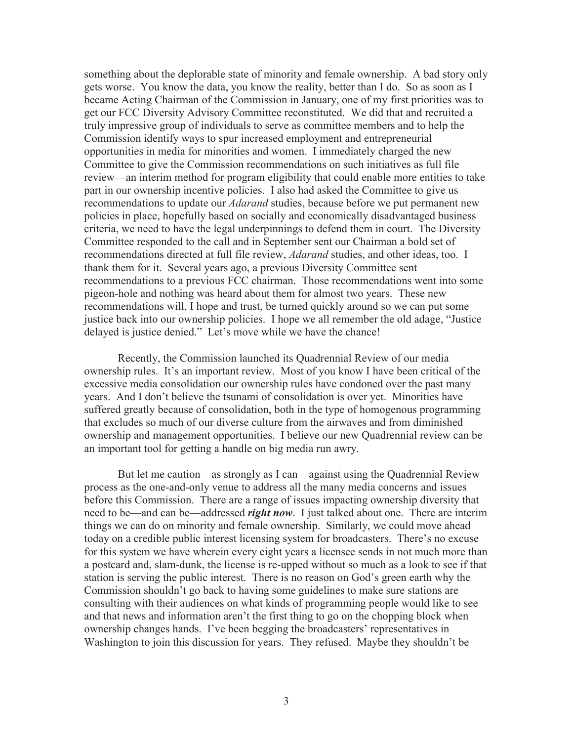something about the deplorable state of minority and female ownership. A bad story only gets worse. You know the data, you know the reality, better than I do. So as soon as I became Acting Chairman of the Commission in January, one of my first priorities was to get our FCC Diversity Advisory Committee reconstituted. We did that and recruited a truly impressive group of individuals to serve as committee members and to help the Commission identify ways to spur increased employment and entrepreneurial opportunities in media for minorities and women. I immediately charged the new Committee to give the Commission recommendations on such initiatives as full file review—an interim method for program eligibility that could enable more entities to take part in our ownership incentive policies. I also had asked the Committee to give us recommendations to update our *Adarand* studies, because before we put permanent new policies in place, hopefully based on socially and economically disadvantaged business criteria, we need to have the legal underpinnings to defend them in court. The Diversity Committee responded to the call and in September sent our Chairman a bold set of recommendations directed at full file review, *Adarand* studies, and other ideas, too. I thank them for it. Several years ago, a previous Diversity Committee sent recommendations to a previous FCC chairman. Those recommendations went into some pigeon-hole and nothing was heard about them for almost two years. These new recommendations will, I hope and trust, be turned quickly around so we can put some justice back into our ownership policies. I hope we all remember the old adage, "Justice delayed is justice denied." Let's move while we have the chance!

Recently, the Commission launched its Quadrennial Review of our media ownership rules. It's an important review. Most of you know I have been critical of the excessive media consolidation our ownership rules have condoned over the past many years. And I don't believe the tsunami of consolidation is over yet. Minorities have suffered greatly because of consolidation, both in the type of homogenous programming that excludes so much of our diverse culture from the airwaves and from diminished ownership and management opportunities. I believe our new Quadrennial review can be an important tool for getting a handle on big media run awry.

But let me caution—as strongly as I can—against using the Quadrennial Review process as the one-and-only venue to address all the many media concerns and issues before this Commission. There are a range of issues impacting ownership diversity that need to be—and can be—addressed *right now*. I just talked about one. There are interim things we can do on minority and female ownership. Similarly, we could move ahead today on a credible public interest licensing system for broadcasters. There's no excuse for this system we have wherein every eight years a licensee sends in not much more than a postcard and, slam-dunk, the license is re-upped without so much as a look to see if that station is serving the public interest. There is no reason on God's green earth why the Commission shouldn't go back to having some guidelines to make sure stations are consulting with their audiences on what kinds of programming people would like to see and that news and information aren't the first thing to go on the chopping block when ownership changes hands. I've been begging the broadcasters' representatives in Washington to join this discussion for years. They refused. Maybe they shouldn't be